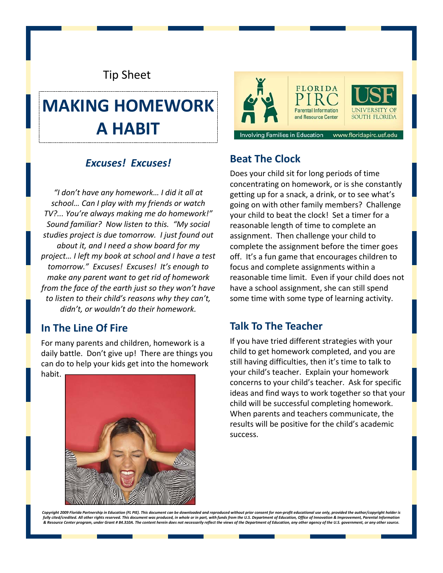# Tip Sheet

# **MAKING HOMEWORK A HABIT**

# *Excuses! Excuses!* **Beat The Clock**

*"I don't have any homework… I did it all at school… Can I play with my friends or watch TV?... You're always making me do homework!" Sound familiar? Now listen to this. "My social studies project is due tomorrow. I just found out about it, and I need a show board for my project… I left my book at school and I have a test tomorrow." Excuses! Excuses! It's enough to make any parent want to get rid of homework from the face of the earth just so they won't have to listen to their child's reasons why they can't, didn't, or wouldn't do their homework.*

#### **In The Line Of Fire**

For many parents and children, homework is a daily battle. Don't give up! There are things you can do to help your kids get into the homework habit.





Does your child sit for long periods of time concentrating on homework, or is she constantly getting up for a snack, a drink, or to see what's going on with other family members? Challenge your child to beat the clock! Set a timer for a reasonable length of time to complete an assignment. Then challenge your child to complete the assignment before the timer goes off. It's a fun game that encourages children to focus and complete assignments within a reasonable time limit. Even if your child does not have a school assignment, she can still spend some time with some type of learning activity.

#### **Talk To The Teacher**

If you have tried different strategies with your child to get homework completed, and you are still having difficulties, then it's time to talk to your child's teacher. Explain your homework concerns to your child's teacher. Ask for specific ideas and find ways to work together so that your child will be successful completing homework. When parents and teachers communicate, the results will be positive for the child's academic success.

Copyright 2009 Florida Partnership in Education (FL PIE). This document can be downloaded and reproduced without prior consent for non-profit educational use only, provided the author/copyright holder is fully cited/credited. All other rights reserved. This document was produced, in whole or in part, with funds from the U.S. Department of Education, Office of Innovation & Improvement, Parental Information & Resource Center program, under Grant # 84.310A. The content herein does not necessarily reflect the views of the Department of Education, any other agency of the U.S. government, or any other source.